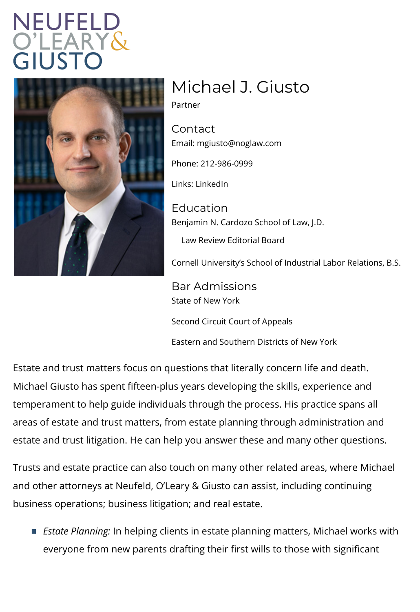## Michael J. Giusto

Partner

Contact Emainh: giusto@noglaw.com

Phone: 212-986-0999

Lin[ks: Linke](https://www.linkedin.com/in/michael-giusto-58a0b310/)dIn

Education Benjamin N. Cardozo School of Law, J.D. Law Review Editorial Board

Cornell University s School of Industrial L

Bar Admissions State of New York

Second Circuit Court of Appeals

Eastern and Southern Districts of New Yor

Estate and trust matters focus on questions that literally c Michael Giusto has spent fifteen-plus years developing the temperament to help guide individuals the ingument the eprocessors. areas of estate and trust matters, from estate planning through estate and trust litigation. He can help you answer these a

Trusts and estate practice can also touch on many other re and other attorneys at Neufeld, O Leary & Giusto can assis business operations; business litigation; and real estate.

Estate PlanningIping clients in estate planning matters everyone from new parents drafting their first wills to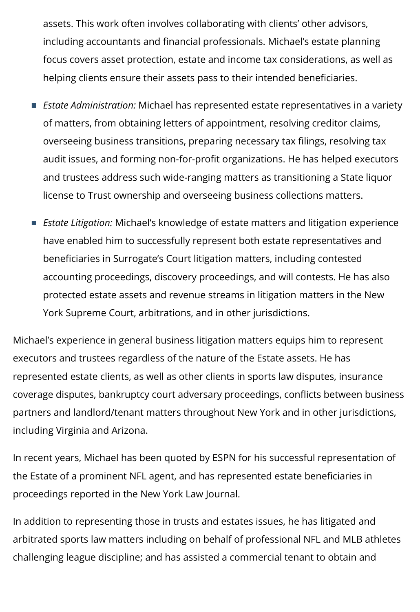assets. This work often involves collaborating with clients' other advisors, including accountants and financial professionals. Michael's estate planning focus covers asset protection, estate and income tax considerations, as well as helping clients ensure their assets pass to their intended beneficiaries.

- *Estate Administration:* Michael has represented estate representatives in a variety of matters, from obtaining letters of appointment, resolving creditor claims, overseeing business transitions, preparing necessary tax filings, resolving tax audit issues, and forming non-for-profit organizations. He has helped executors and trustees address such wide-ranging matters as transitioning a State liquor license to Trust ownership and overseeing business collections matters.
- *Estate Litigation:* Michael's knowledge of estate matters and litigation experience have enabled him to successfully represent both estate representatives and beneficiaries in Surrogate's Court litigation matters, including contested accounting proceedings, discovery proceedings, and will contests. He has also protected estate assets and revenue streams in litigation matters in the New York Supreme Court, arbitrations, and in other jurisdictions.

Michael's experience in general business litigation matters equips him to represent executors and trustees regardless of the nature of the Estate assets. He has represented estate clients, as well as other clients in sports law disputes, insurance coverage disputes, bankruptcy court adversary proceedings, conflicts between business partners and landlord/tenant matters throughout New York and in other jurisdictions, including Virginia and Arizona.

In recent years, Michael has been quoted by ESPN for his successful representation of the Estate of a prominent NFL agent, and has represented estate beneficiaries in proceedings reported in the New York Law Journal.

In addition to representing those in trusts and estates issues, he has litigated and arbitrated sports law matters including on behalf of professional NFL and MLB athletes challenging league discipline; and has assisted a commercial tenant to obtain and